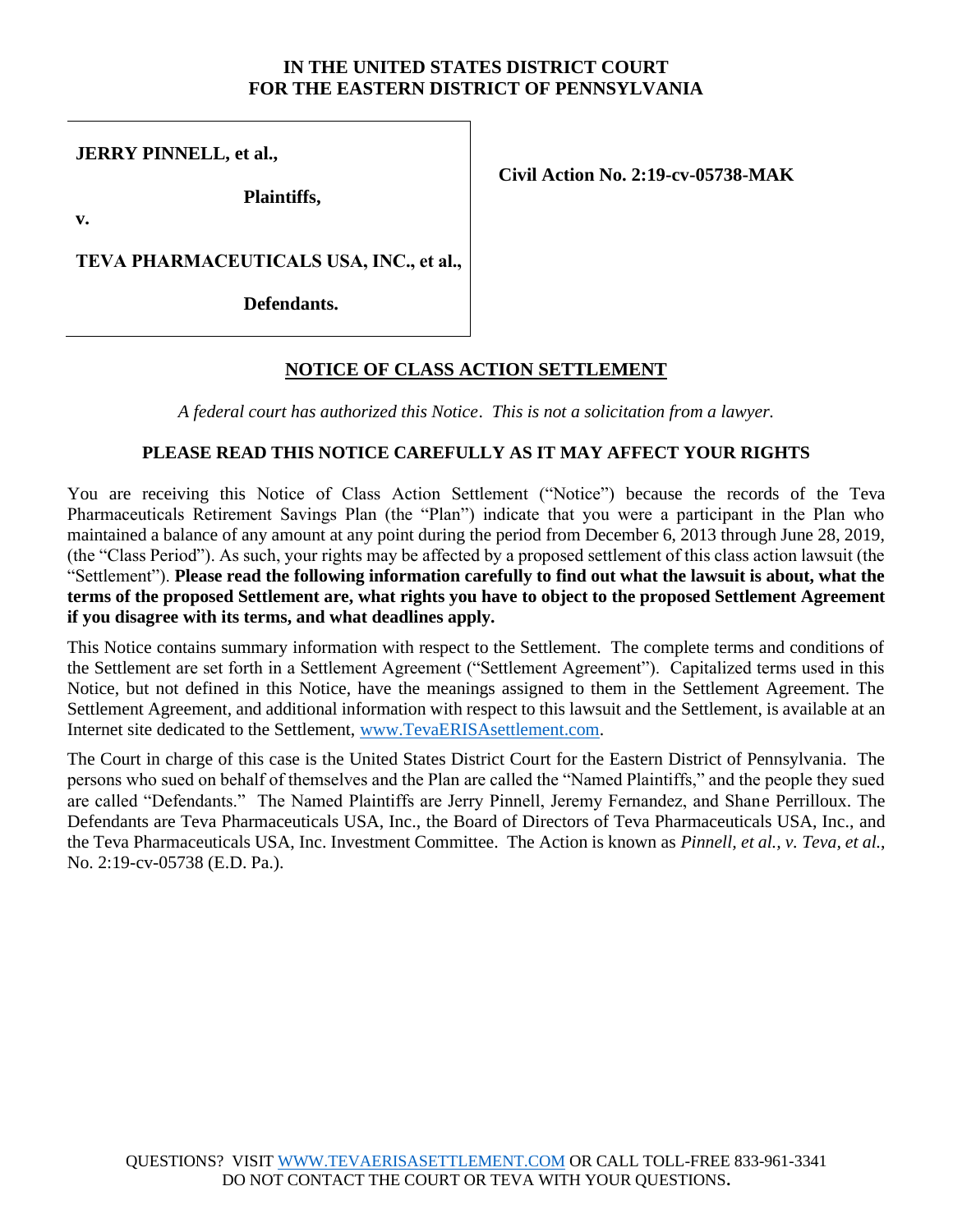### **IN THE UNITED STATES DISTRICT COURT FOR THE EASTERN DISTRICT OF PENNSYLVANIA**

**JERRY PINNELL, et al.,**

**Plaintiffs,**

**Civil Action No. 2:19-cv-05738-MAK**

**v.**

**TEVA PHARMACEUTICALS USA, INC., et al.,** 

**Defendants.**

# **NOTICE OF CLASS ACTION SETTLEMENT**

*A federal court has authorized this Notice*. *This is not a solicitation from a lawyer.*

### **PLEASE READ THIS NOTICE CAREFULLY AS IT MAY AFFECT YOUR RIGHTS**

You are receiving this Notice of Class Action Settlement ("Notice") because the records of the Teva Pharmaceuticals Retirement Savings Plan (the "Plan") indicate that you were a participant in the Plan who maintained a balance of any amount at any point during the period from December 6, 2013 through June 28, 2019, (the "Class Period"). As such, your rights may be affected by a proposed settlement of this class action lawsuit (the "Settlement"). **Please read the following information carefully to find out what the lawsuit is about, what the terms of the proposed Settlement are, what rights you have to object to the proposed Settlement Agreement if you disagree with its terms, and what deadlines apply.**

This Notice contains summary information with respect to the Settlement. The complete terms and conditions of the Settlement are set forth in a Settlement Agreement ("Settlement Agreement"). Capitalized terms used in this Notice, but not defined in this Notice, have the meanings assigned to them in the Settlement Agreement. The Settlement Agreement, and additional information with respect to this lawsuit and the Settlement, is available at an Internet site dedicated to the Settlement, [www.TevaERISAsettlement.com.](http://www.tevaerisasettlement.com/)

The Court in charge of this case is the United States District Court for the Eastern District of Pennsylvania. The persons who sued on behalf of themselves and the Plan are called the "Named Plaintiffs," and the people they sued are called "Defendants." The Named Plaintiffs are Jerry Pinnell, Jeremy Fernandez, and Shane Perrilloux. The Defendants are Teva Pharmaceuticals USA, Inc., the Board of Directors of Teva Pharmaceuticals USA, Inc., and the Teva Pharmaceuticals USA, Inc. Investment Committee. The Action is known as *Pinnell, et al., v. Teva, et al.*, No. 2:19-cv-05738 (E.D. Pa.).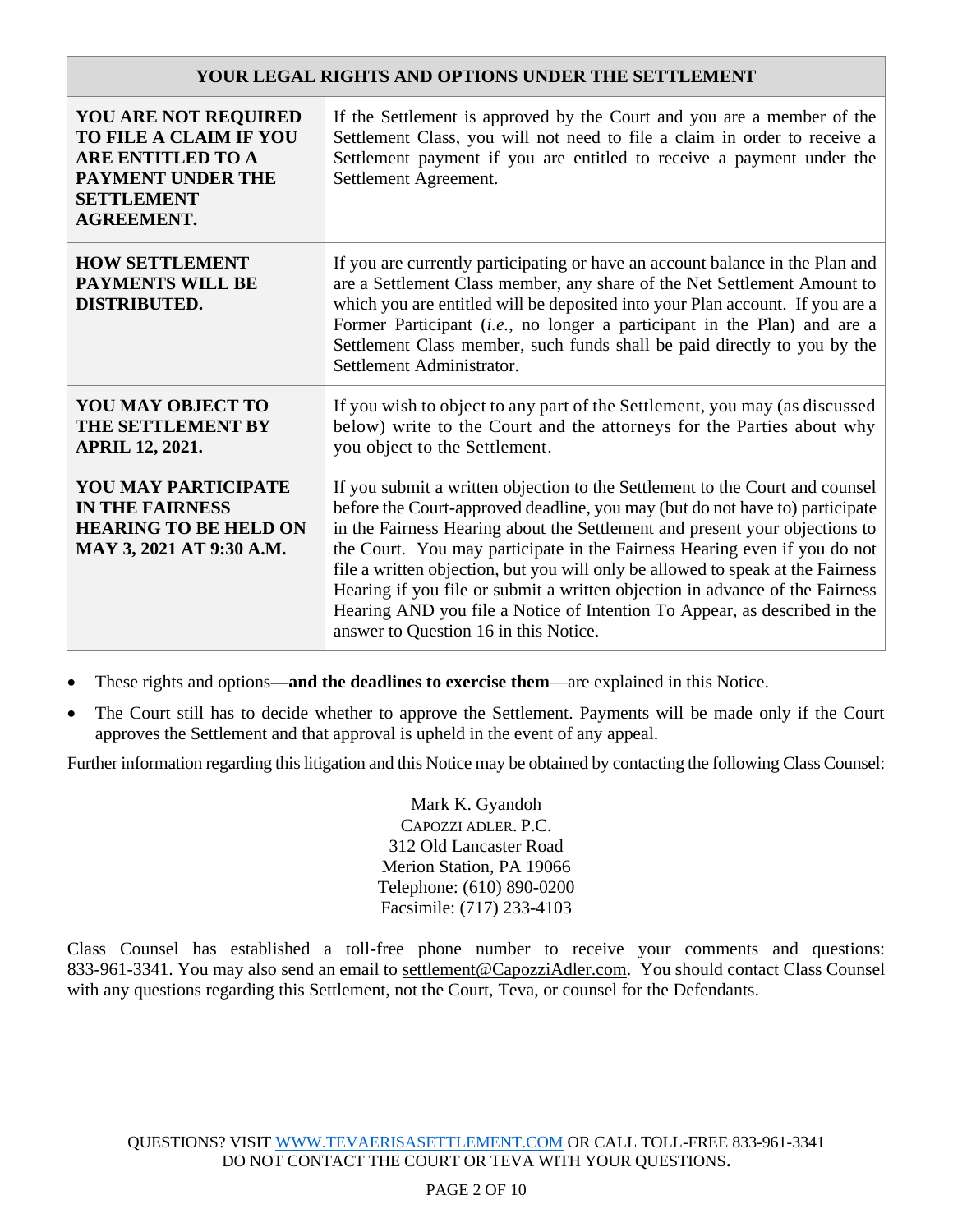### **YOUR LEGAL RIGHTS AND OPTIONS UNDER THE SETTLEMENT**

| <b>YOU ARE NOT REQUIRED</b><br>TO FILE A CLAIM IF YOU<br><b>ARE ENTITLED TO A</b><br><b>PAYMENT UNDER THE</b><br><b>SETTLEMENT</b><br><b>AGREEMENT.</b> | If the Settlement is approved by the Court and you are a member of the<br>Settlement Class, you will not need to file a claim in order to receive a<br>Settlement payment if you are entitled to receive a payment under the<br>Settlement Agreement.                                                                                                                                                                                                                                                                                                                                                             |
|---------------------------------------------------------------------------------------------------------------------------------------------------------|-------------------------------------------------------------------------------------------------------------------------------------------------------------------------------------------------------------------------------------------------------------------------------------------------------------------------------------------------------------------------------------------------------------------------------------------------------------------------------------------------------------------------------------------------------------------------------------------------------------------|
| <b>HOW SETTLEMENT</b><br><b>PAYMENTS WILL BE</b><br><b>DISTRIBUTED.</b>                                                                                 | If you are currently participating or have an account balance in the Plan and<br>are a Settlement Class member, any share of the Net Settlement Amount to<br>which you are entitled will be deposited into your Plan account. If you are a<br>Former Participant (i.e., no longer a participant in the Plan) and are a<br>Settlement Class member, such funds shall be paid directly to you by the<br>Settlement Administrator.                                                                                                                                                                                   |
| YOU MAY OBJECT TO<br>THE SETTLEMENT BY<br><b>APRIL 12, 2021.</b>                                                                                        | If you wish to object to any part of the Settlement, you may (as discussed<br>below) write to the Court and the attorneys for the Parties about why<br>you object to the Settlement.                                                                                                                                                                                                                                                                                                                                                                                                                              |
| <b>YOU MAY PARTICIPATE</b><br><b>IN THE FAIRNESS</b><br><b>HEARING TO BE HELD ON</b><br>MAY 3, 2021 AT 9:30 A.M.                                        | If you submit a written objection to the Settlement to the Court and counsel<br>before the Court-approved deadline, you may (but do not have to) participate<br>in the Fairness Hearing about the Settlement and present your objections to<br>the Court. You may participate in the Fairness Hearing even if you do not<br>file a written objection, but you will only be allowed to speak at the Fairness<br>Hearing if you file or submit a written objection in advance of the Fairness<br>Hearing AND you file a Notice of Intention To Appear, as described in the<br>answer to Question 16 in this Notice. |

• These rights and options**—and the deadlines to exercise them**—are explained in this Notice.

• The Court still has to decide whether to approve the Settlement. Payments will be made only if the Court approves the Settlement and that approval is upheld in the event of any appeal.

Further information regarding this litigation and this Notice may be obtained by contacting the following Class Counsel:

Mark K. Gyandoh CAPOZZI ADLER. P.C. 312 Old Lancaster Road Merion Station, PA 19066 Telephone: (610) 890-0200 Facsimile: (717) 233-4103

Class Counsel has established a toll-free phone number to receive your comments and questions: 833-961-3341. You may also send an email to settlement@CapozziAdler.com. You should contact Class Counsel with any questions regarding this Settlement, not the Court, Teva, or counsel for the Defendants.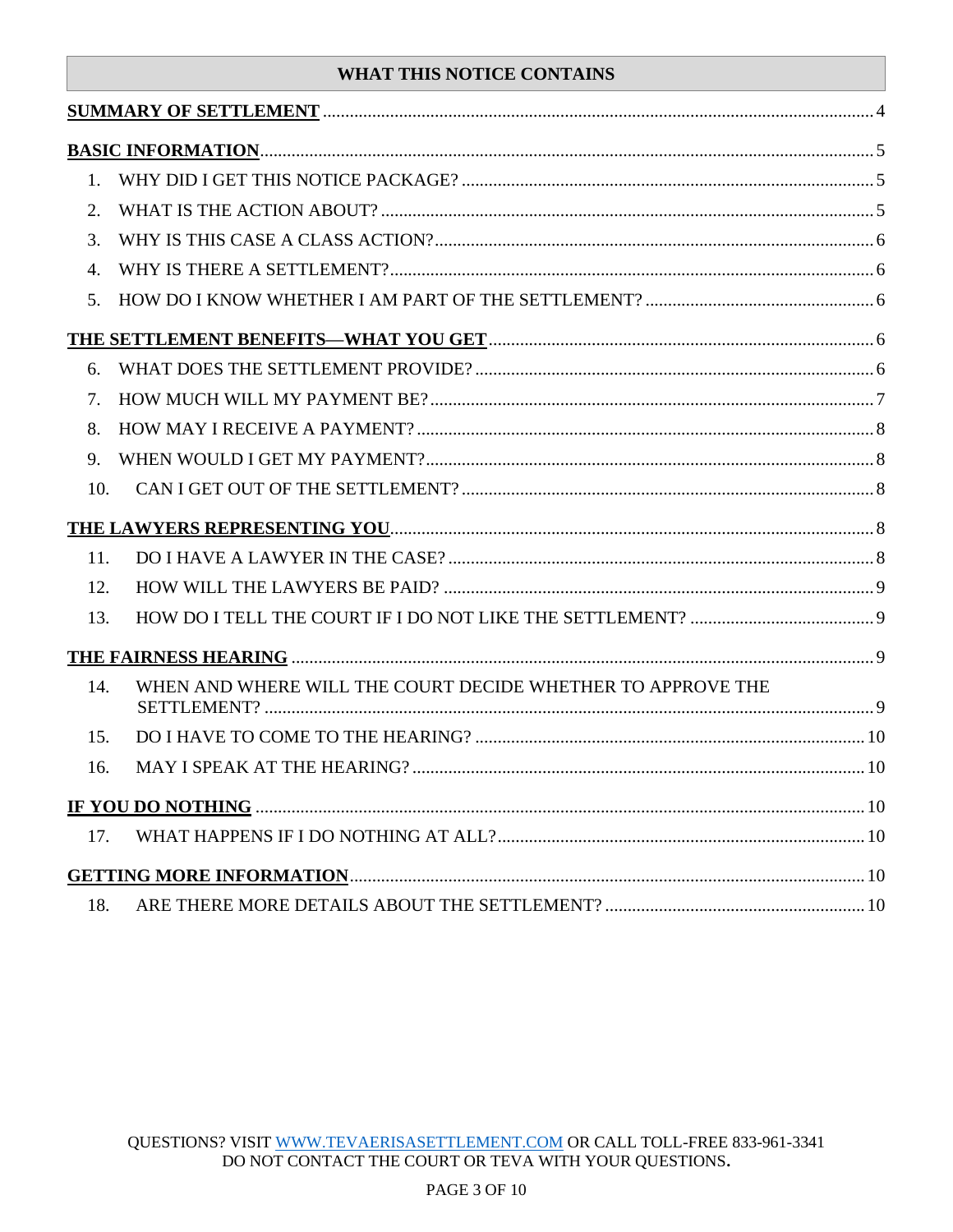# **WHAT THIS NOTICE CONTAINS**

| 1.  |                                                             |  |
|-----|-------------------------------------------------------------|--|
| 2.  |                                                             |  |
| 3.  |                                                             |  |
| 4.  |                                                             |  |
| 5.  |                                                             |  |
|     |                                                             |  |
| 6.  |                                                             |  |
| 7.  |                                                             |  |
| 8.  |                                                             |  |
| 9.  |                                                             |  |
| 10. |                                                             |  |
|     |                                                             |  |
| 11. |                                                             |  |
| 12. |                                                             |  |
| 13. |                                                             |  |
|     |                                                             |  |
| 14. | WHEN AND WHERE WILL THE COURT DECIDE WHETHER TO APPROVE THE |  |
| 15. |                                                             |  |
| 16. |                                                             |  |
|     |                                                             |  |
| 17. |                                                             |  |
|     |                                                             |  |
|     |                                                             |  |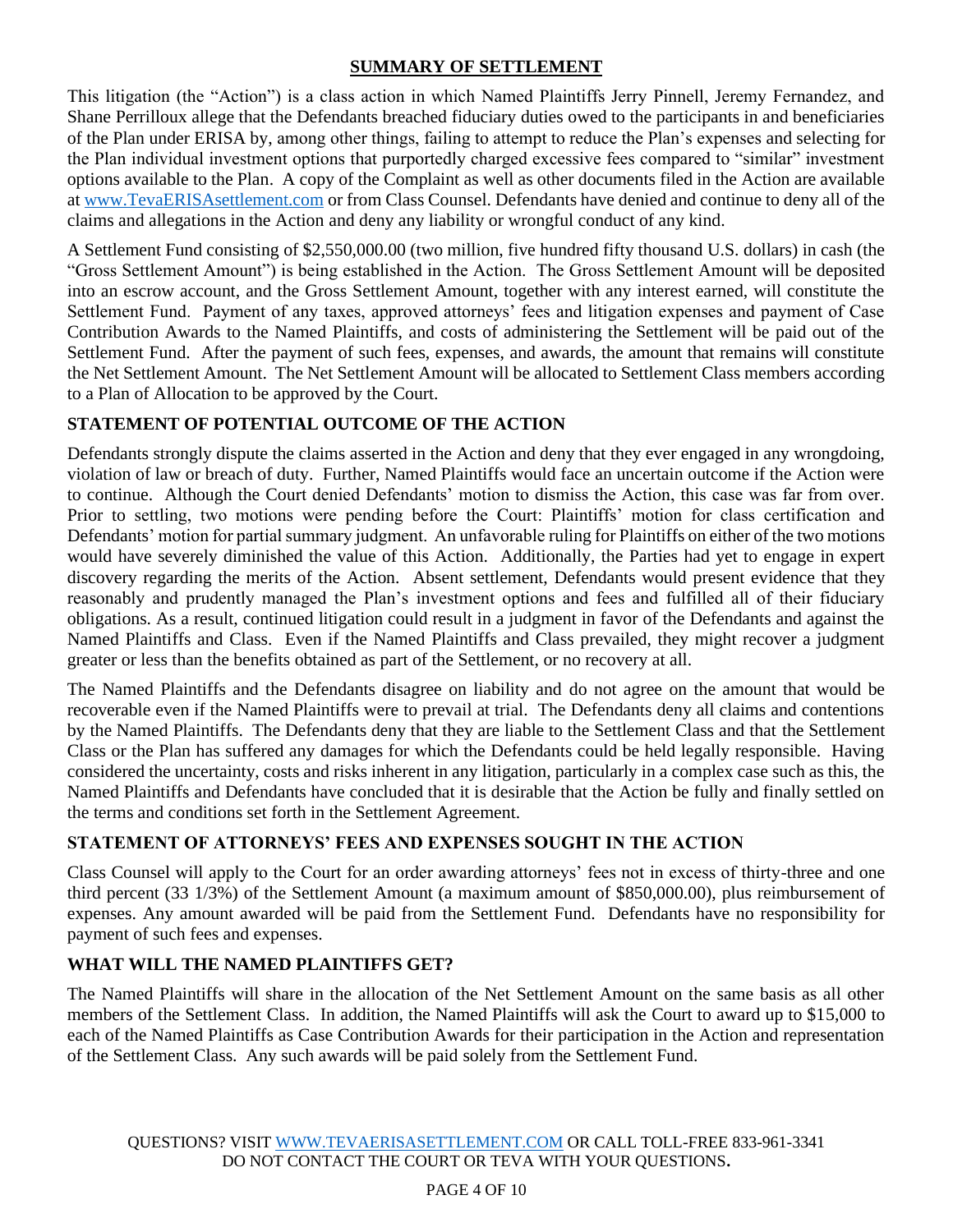## **SUMMARY OF SETTLEMENT**

<span id="page-3-0"></span>This litigation (the "Action") is a class action in which Named Plaintiffs Jerry Pinnell, Jeremy Fernandez, and Shane Perrilloux allege that the Defendants breached fiduciary duties owed to the participants in and beneficiaries of the Plan under ERISA by, among other things, failing to attempt to reduce the Plan's expenses and selecting for the Plan individual investment options that purportedly charged excessive fees compared to "similar" investment options available to the Plan. A copy of the Complaint as well as other documents filed in the Action are available at [www.TevaERISAsettlement.com](http://www.tevaerisasettlement.com/) or from Class Counsel. Defendants have denied and continue to deny all of the claims and allegations in the Action and deny any liability or wrongful conduct of any kind.

A Settlement Fund consisting of \$2,550,000.00 (two million, five hundred fifty thousand U.S. dollars) in cash (the "Gross Settlement Amount") is being established in the Action. The Gross Settlement Amount will be deposited into an escrow account, and the Gross Settlement Amount, together with any interest earned, will constitute the Settlement Fund. Payment of any taxes, approved attorneys' fees and litigation expenses and payment of Case Contribution Awards to the Named Plaintiffs, and costs of administering the Settlement will be paid out of the Settlement Fund. After the payment of such fees, expenses, and awards, the amount that remains will constitute the Net Settlement Amount. The Net Settlement Amount will be allocated to Settlement Class members according to a Plan of Allocation to be approved by the Court.

# **STATEMENT OF POTENTIAL OUTCOME OF THE ACTION**

Defendants strongly dispute the claims asserted in the Action and deny that they ever engaged in any wrongdoing, violation of law or breach of duty. Further, Named Plaintiffs would face an uncertain outcome if the Action were to continue. Although the Court denied Defendants' motion to dismiss the Action, this case was far from over. Prior to settling, two motions were pending before the Court: Plaintiffs' motion for class certification and Defendants' motion for partial summary judgment. An unfavorable ruling for Plaintiffs on either of the two motions would have severely diminished the value of this Action. Additionally, the Parties had yet to engage in expert discovery regarding the merits of the Action. Absent settlement, Defendants would present evidence that they reasonably and prudently managed the Plan's investment options and fees and fulfilled all of their fiduciary obligations. As a result, continued litigation could result in a judgment in favor of the Defendants and against the Named Plaintiffs and Class. Even if the Named Plaintiffs and Class prevailed, they might recover a judgment greater or less than the benefits obtained as part of the Settlement, or no recovery at all.

The Named Plaintiffs and the Defendants disagree on liability and do not agree on the amount that would be recoverable even if the Named Plaintiffs were to prevail at trial. The Defendants deny all claims and contentions by the Named Plaintiffs. The Defendants deny that they are liable to the Settlement Class and that the Settlement Class or the Plan has suffered any damages for which the Defendants could be held legally responsible. Having considered the uncertainty, costs and risks inherent in any litigation, particularly in a complex case such as this, the Named Plaintiffs and Defendants have concluded that it is desirable that the Action be fully and finally settled on the terms and conditions set forth in the Settlement Agreement.

# **STATEMENT OF ATTORNEYS' FEES AND EXPENSES SOUGHT IN THE ACTION**

Class Counsel will apply to the Court for an order awarding attorneys' fees not in excess of thirty-three and one third percent (33 1/3%) of the Settlement Amount (a maximum amount of \$850,000.00), plus reimbursement of expenses. Any amount awarded will be paid from the Settlement Fund. Defendants have no responsibility for payment of such fees and expenses.

## **WHAT WILL THE NAMED PLAINTIFFS GET?**

The Named Plaintiffs will share in the allocation of the Net Settlement Amount on the same basis as all other members of the Settlement Class. In addition, the Named Plaintiffs will ask the Court to award up to \$15,000 to each of the Named Plaintiffs as Case Contribution Awards for their participation in the Action and representation of the Settlement Class. Any such awards will be paid solely from the Settlement Fund.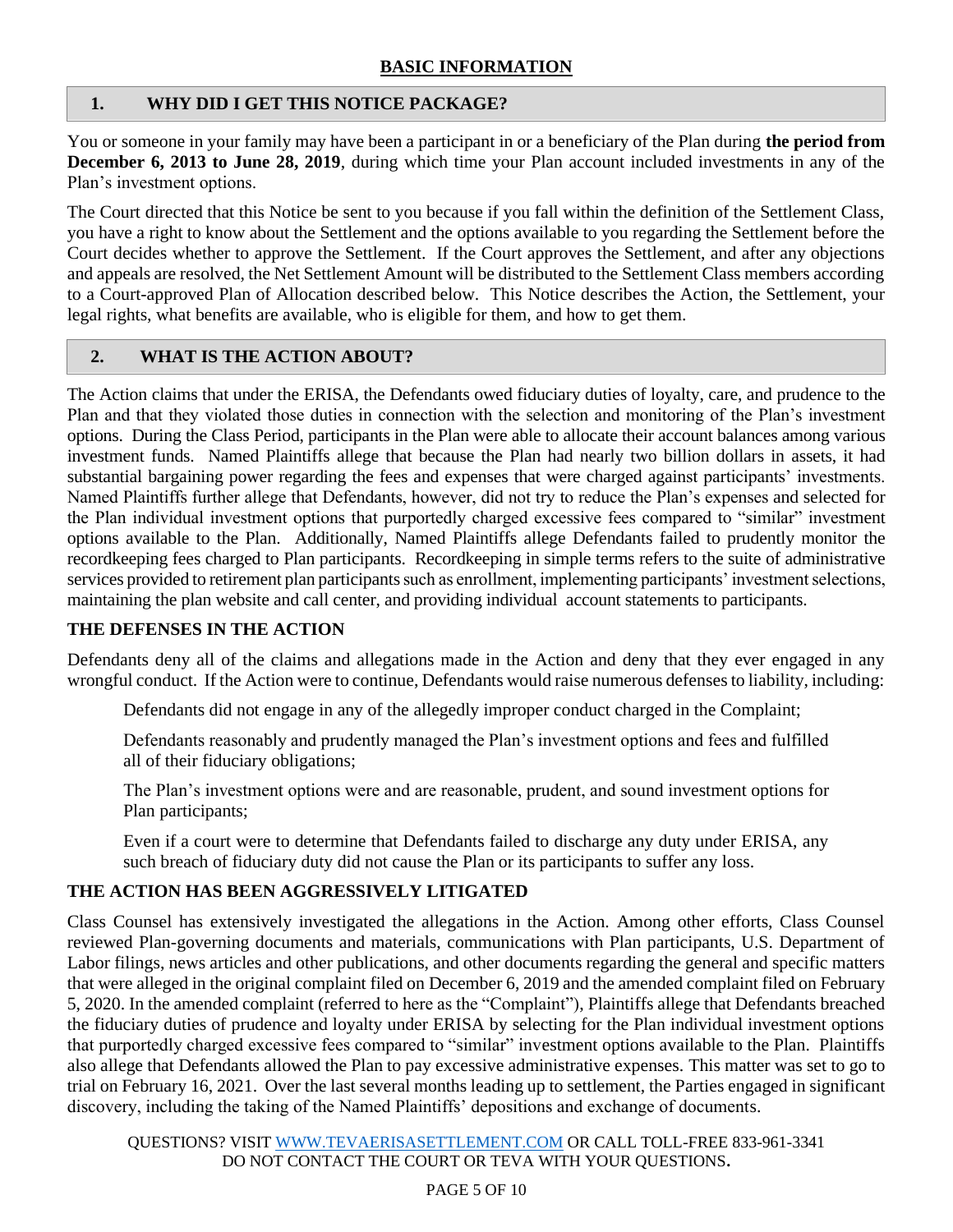## <span id="page-4-1"></span><span id="page-4-0"></span>**1. WHY DID I GET THIS NOTICE PACKAGE?**

You or someone in your family may have been a participant in or a beneficiary of the Plan during **the period from December 6, 2013 to June 28, 2019**, during which time your Plan account included investments in any of the Plan's investment options.

The Court directed that this Notice be sent to you because if you fall within the definition of the Settlement Class, you have a right to know about the Settlement and the options available to you regarding the Settlement before the Court decides whether to approve the Settlement. If the Court approves the Settlement, and after any objections and appeals are resolved, the Net Settlement Amount will be distributed to the Settlement Class members according to a Court-approved Plan of Allocation described below. This Notice describes the Action, the Settlement, your legal rights, what benefits are available, who is eligible for them, and how to get them.

## <span id="page-4-2"></span>**2. WHAT IS THE ACTION ABOUT?**

The Action claims that under the ERISA, the Defendants owed fiduciary duties of loyalty, care, and prudence to the Plan and that they violated those duties in connection with the selection and monitoring of the Plan's investment options. During the Class Period, participants in the Plan were able to allocate their account balances among various investment funds. Named Plaintiffs allege that because the Plan had nearly two billion dollars in assets, it had substantial bargaining power regarding the fees and expenses that were charged against participants' investments. Named Plaintiffs further allege that Defendants, however, did not try to reduce the Plan's expenses and selected for the Plan individual investment options that purportedly charged excessive fees compared to "similar" investment options available to the Plan. Additionally, Named Plaintiffs allege Defendants failed to prudently monitor the recordkeeping fees charged to Plan participants. Recordkeeping in simple terms refers to the suite of administrative services provided to retirement plan participants such as enrollment, implementing participants' investment selections, maintaining the plan website and call center, and providing individual account statements to participants.

### **THE DEFENSES IN THE ACTION**

Defendants deny all of the claims and allegations made in the Action and deny that they ever engaged in any wrongful conduct. If the Action were to continue, Defendants would raise numerous defenses to liability, including:

Defendants did not engage in any of the allegedly improper conduct charged in the Complaint;

Defendants reasonably and prudently managed the Plan's investment options and fees and fulfilled all of their fiduciary obligations;

The Plan's investment options were and are reasonable, prudent, and sound investment options for Plan participants;

Even if a court were to determine that Defendants failed to discharge any duty under ERISA, any such breach of fiduciary duty did not cause the Plan or its participants to suffer any loss.

### **THE ACTION HAS BEEN AGGRESSIVELY LITIGATED**

Class Counsel has extensively investigated the allegations in the Action. Among other efforts, Class Counsel reviewed Plan-governing documents and materials, communications with Plan participants, U.S. Department of Labor filings, news articles and other publications, and other documents regarding the general and specific matters that were alleged in the original complaint filed on December 6, 2019 and the amended complaint filed on February 5, 2020. In the amended complaint (referred to here as the "Complaint"), Plaintiffs allege that Defendants breached the fiduciary duties of prudence and loyalty under ERISA by selecting for the Plan individual investment options that purportedly charged excessive fees compared to "similar" investment options available to the Plan. Plaintiffs also allege that Defendants allowed the Plan to pay excessive administrative expenses. This matter was set to go to trial on February 16, 2021. Over the last several months leading up to settlement, the Parties engaged in significant discovery, including the taking of the Named Plaintiffs' depositions and exchange of documents.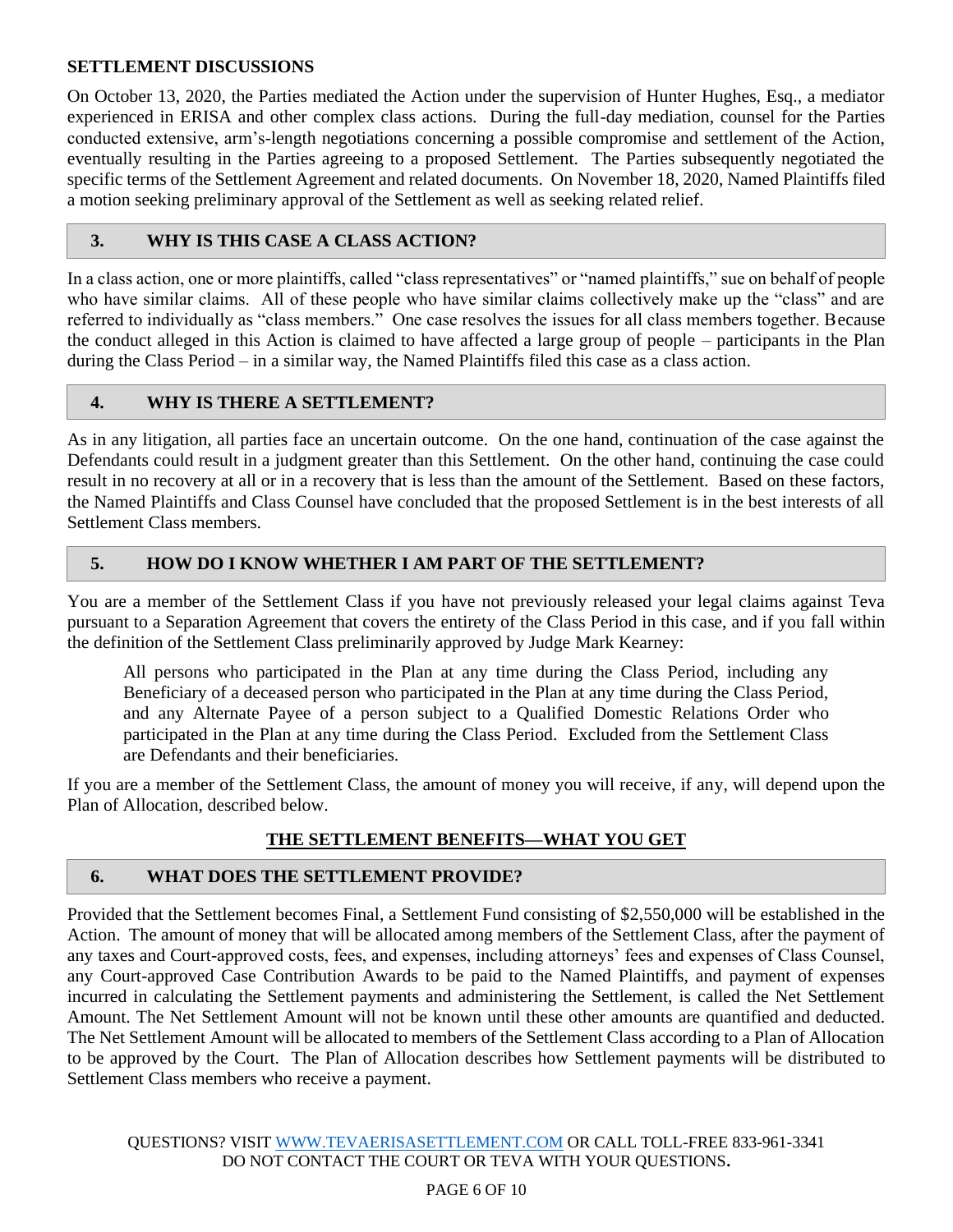### **SETTLEMENT DISCUSSIONS**

On October 13, 2020, the Parties mediated the Action under the supervision of Hunter Hughes, Esq., a mediator experienced in ERISA and other complex class actions. During the full-day mediation, counsel for the Parties conducted extensive, arm's-length negotiations concerning a possible compromise and settlement of the Action, eventually resulting in the Parties agreeing to a proposed Settlement. The Parties subsequently negotiated the specific terms of the Settlement Agreement and related documents. On November 18, 2020, Named Plaintiffs filed a motion seeking preliminary approval of the Settlement as well as seeking related relief.

### <span id="page-5-0"></span>**3. WHY IS THIS CASE A CLASS ACTION?**

In a class action, one or more plaintiffs, called "class representatives" or "named plaintiffs," sue on behalf of people who have similar claims. All of these people who have similar claims collectively make up the "class" and are referred to individually as "class members." One case resolves the issues for all class members together. Because the conduct alleged in this Action is claimed to have affected a large group of people – participants in the Plan during the Class Period – in a similar way, the Named Plaintiffs filed this case as a class action.

## <span id="page-5-1"></span>**4. WHY IS THERE A SETTLEMENT?**

As in any litigation, all parties face an uncertain outcome. On the one hand, continuation of the case against the Defendants could result in a judgment greater than this Settlement. On the other hand, continuing the case could result in no recovery at all or in a recovery that is less than the amount of the Settlement. Based on these factors, the Named Plaintiffs and Class Counsel have concluded that the proposed Settlement is in the best interests of all Settlement Class members.

## <span id="page-5-2"></span>**5. HOW DO I KNOW WHETHER I AM PART OF THE SETTLEMENT?**

You are a member of the Settlement Class if you have not previously released your legal claims against Teva pursuant to a Separation Agreement that covers the entirety of the Class Period in this case, and if you fall within the definition of the Settlement Class preliminarily approved by Judge Mark Kearney:

All persons who participated in the Plan at any time during the Class Period, including any Beneficiary of a deceased person who participated in the Plan at any time during the Class Period, and any Alternate Payee of a person subject to a Qualified Domestic Relations Order who participated in the Plan at any time during the Class Period. Excluded from the Settlement Class are Defendants and their beneficiaries.

If you are a member of the Settlement Class, the amount of money you will receive, if any, will depend upon the Plan of Allocation, described below.

## **THE SETTLEMENT BENEFITS—WHAT YOU GET**

## <span id="page-5-4"></span><span id="page-5-3"></span>**6. WHAT DOES THE SETTLEMENT PROVIDE?**

Provided that the Settlement becomes Final, a Settlement Fund consisting of \$2,550,000 will be established in the Action. The amount of money that will be allocated among members of the Settlement Class, after the payment of any taxes and Court-approved costs, fees, and expenses, including attorneys' fees and expenses of Class Counsel, any Court-approved Case Contribution Awards to be paid to the Named Plaintiffs, and payment of expenses incurred in calculating the Settlement payments and administering the Settlement, is called the Net Settlement Amount. The Net Settlement Amount will not be known until these other amounts are quantified and deducted. The Net Settlement Amount will be allocated to members of the Settlement Class according to a Plan of Allocation to be approved by the Court. The Plan of Allocation describes how Settlement payments will be distributed to Settlement Class members who receive a payment.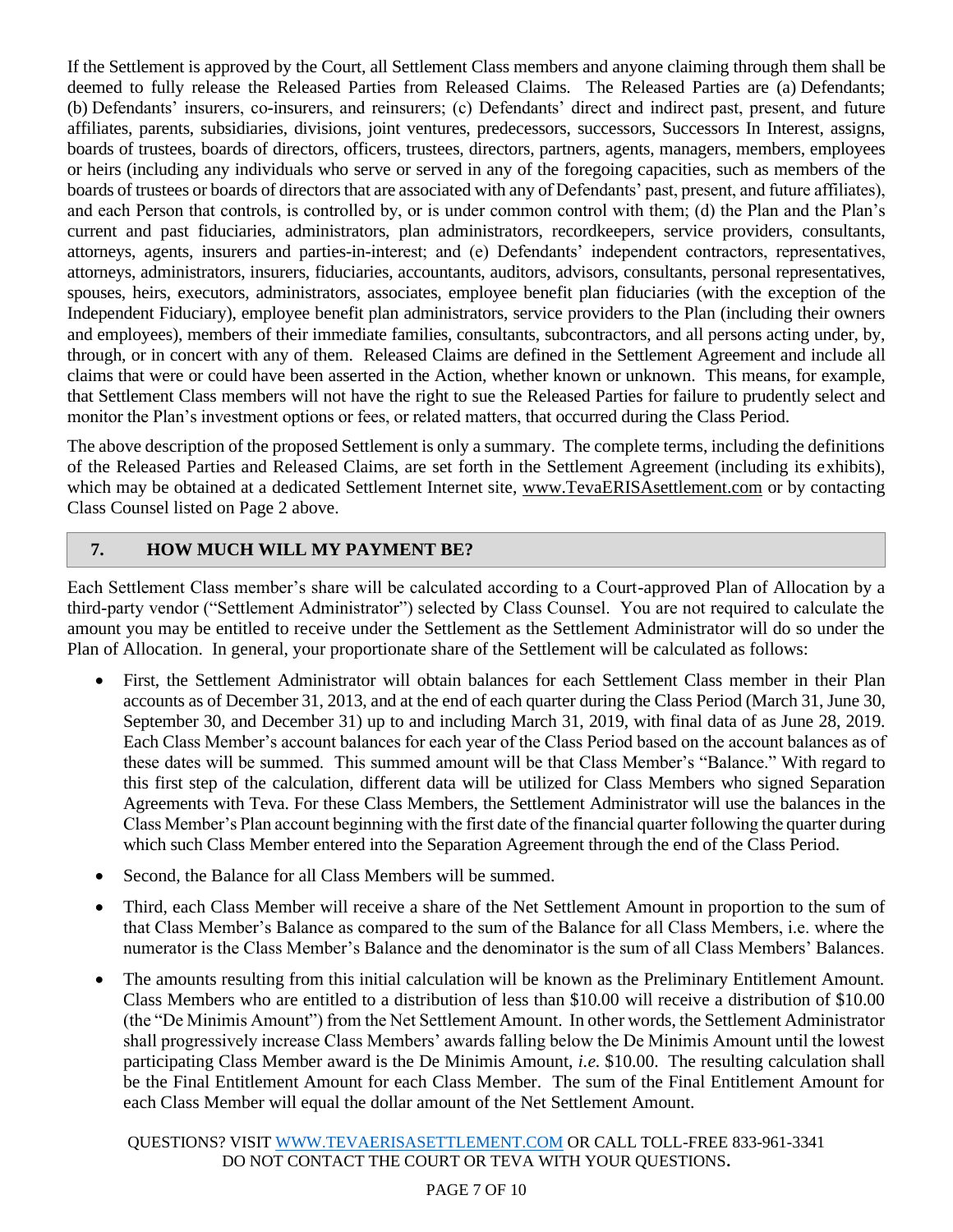If the Settlement is approved by the Court, all Settlement Class members and anyone claiming through them shall be deemed to fully release the Released Parties from Released Claims. The Released Parties are (a) Defendants; (b) Defendants' insurers, co-insurers, and reinsurers; (c) Defendants' direct and indirect past, present, and future affiliates, parents, subsidiaries, divisions, joint ventures, predecessors, successors, Successors In Interest, assigns, boards of trustees, boards of directors, officers, trustees, directors, partners, agents, managers, members, employees or heirs (including any individuals who serve or served in any of the foregoing capacities, such as members of the boards of trustees or boards of directors that are associated with any of Defendants' past, present, and future affiliates), and each Person that controls, is controlled by, or is under common control with them; (d) the Plan and the Plan's current and past fiduciaries, administrators, plan administrators, recordkeepers, service providers, consultants, attorneys, agents, insurers and parties-in-interest; and (e) Defendants' independent contractors, representatives, attorneys, administrators, insurers, fiduciaries, accountants, auditors, advisors, consultants, personal representatives, spouses, heirs, executors, administrators, associates, employee benefit plan fiduciaries (with the exception of the Independent Fiduciary), employee benefit plan administrators, service providers to the Plan (including their owners and employees), members of their immediate families, consultants, subcontractors, and all persons acting under, by, through, or in concert with any of them. Released Claims are defined in the Settlement Agreement and include all claims that were or could have been asserted in the Action, whether known or unknown. This means, for example, that Settlement Class members will not have the right to sue the Released Parties for failure to prudently select and monitor the Plan's investment options or fees, or related matters, that occurred during the Class Period.

The above description of the proposed Settlement is only a summary. The complete terms, including the definitions of the Released Parties and Released Claims, are set forth in the Settlement Agreement (including its exhibits), which may be obtained at a dedicated Settlement Internet site, www.TevaERISAsettlement.com or by contacting Class Counsel listed on Page 2 above.

## <span id="page-6-0"></span>**7. HOW MUCH WILL MY PAYMENT BE?**

Each Settlement Class member's share will be calculated according to a Court-approved Plan of Allocation by a third-party vendor ("Settlement Administrator") selected by Class Counsel. You are not required to calculate the amount you may be entitled to receive under the Settlement as the Settlement Administrator will do so under the Plan of Allocation. In general, your proportionate share of the Settlement will be calculated as follows:

- First, the Settlement Administrator will obtain balances for each Settlement Class member in their Plan accounts as of December 31, 2013, and at the end of each quarter during the Class Period (March 31, June 30, September 30, and December 31) up to and including March 31, 2019, with final data of as June 28, 2019. Each Class Member's account balances for each year of the Class Period based on the account balances as of these dates will be summed. This summed amount will be that Class Member's "Balance." With regard to this first step of the calculation, different data will be utilized for Class Members who signed Separation Agreements with Teva. For these Class Members, the Settlement Administrator will use the balances in the Class Member's Plan account beginning with the first date of the financial quarter following the quarter during which such Class Member entered into the Separation Agreement through the end of the Class Period.
- Second, the Balance for all Class Members will be summed.
- Third, each Class Member will receive a share of the Net Settlement Amount in proportion to the sum of that Class Member's Balance as compared to the sum of the Balance for all Class Members, i.e. where the numerator is the Class Member's Balance and the denominator is the sum of all Class Members' Balances.
- The amounts resulting from this initial calculation will be known as the Preliminary Entitlement Amount. Class Members who are entitled to a distribution of less than \$10.00 will receive a distribution of \$10.00 (the "De Minimis Amount") from the Net Settlement Amount. In other words, the Settlement Administrator shall progressively increase Class Members' awards falling below the De Minimis Amount until the lowest participating Class Member award is the De Minimis Amount, *i.e.* \$10.00. The resulting calculation shall be the Final Entitlement Amount for each Class Member. The sum of the Final Entitlement Amount for each Class Member will equal the dollar amount of the Net Settlement Amount.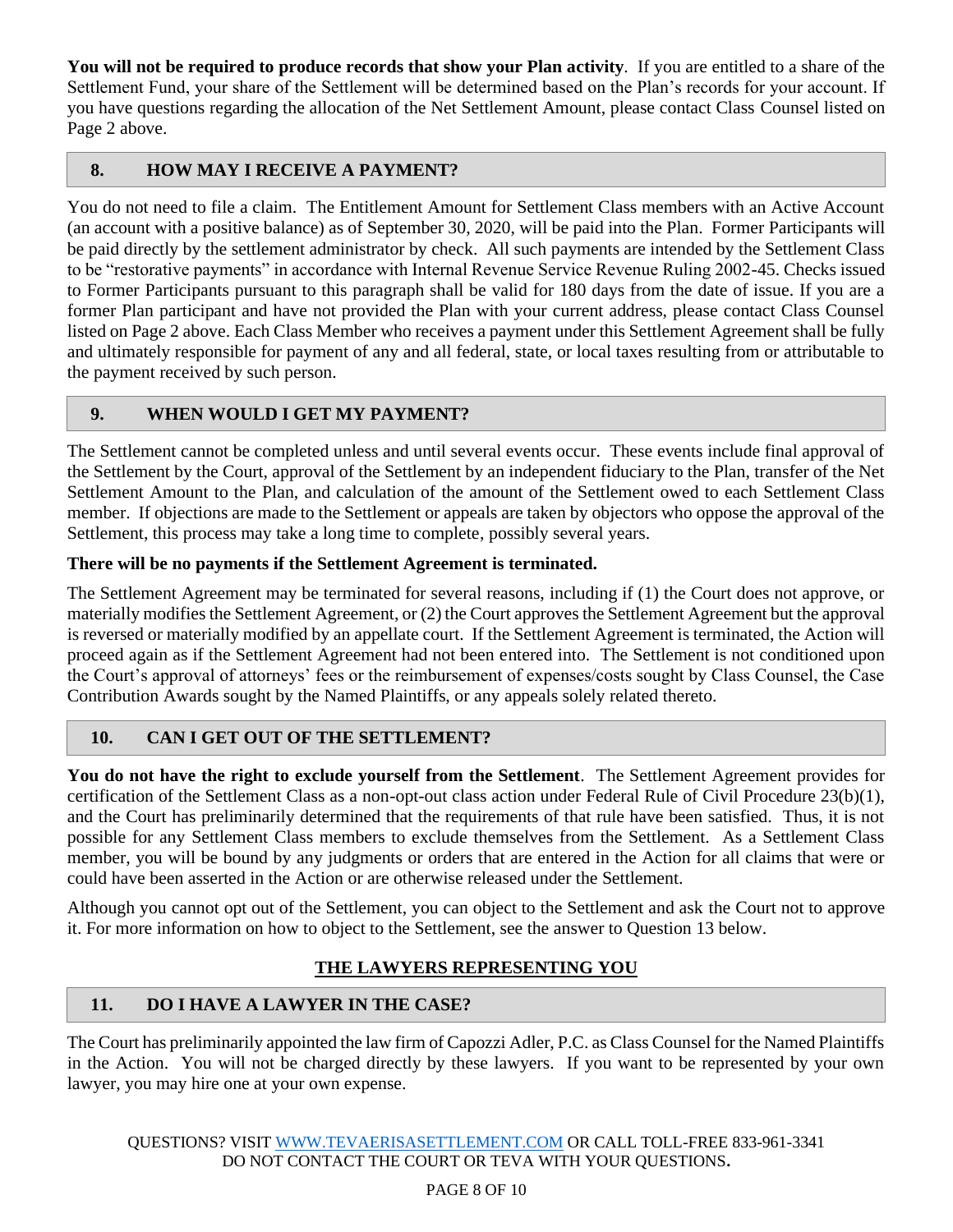**You will not be required to produce records that show your Plan activity**. If you are entitled to a share of the Settlement Fund, your share of the Settlement will be determined based on the Plan's records for your account. If you have questions regarding the allocation of the Net Settlement Amount, please contact Class Counsel listed on Page 2 above.

## <span id="page-7-0"></span>**8. HOW MAY I RECEIVE A PAYMENT?**

You do not need to file a claim. The Entitlement Amount for Settlement Class members with an Active Account (an account with a positive balance) as of September 30, 2020, will be paid into the Plan. Former Participants will be paid directly by the settlement administrator by check. All such payments are intended by the Settlement Class to be "restorative payments" in accordance with Internal Revenue Service Revenue Ruling 2002-45. Checks issued to Former Participants pursuant to this paragraph shall be valid for 180 days from the date of issue. If you are a former Plan participant and have not provided the Plan with your current address, please contact Class Counsel listed on Page 2 above. Each Class Member who receives a payment under this Settlement Agreement shall be fully and ultimately responsible for payment of any and all federal, state, or local taxes resulting from or attributable to the payment received by such person.

# <span id="page-7-1"></span>**9. WHEN WOULD I GET MY PAYMENT?**

The Settlement cannot be completed unless and until several events occur. These events include final approval of the Settlement by the Court, approval of the Settlement by an independent fiduciary to the Plan, transfer of the Net Settlement Amount to the Plan, and calculation of the amount of the Settlement owed to each Settlement Class member. If objections are made to the Settlement or appeals are taken by objectors who oppose the approval of the Settlement, this process may take a long time to complete, possibly several years.

### **There will be no payments if the Settlement Agreement is terminated.**

The Settlement Agreement may be terminated for several reasons, including if (1) the Court does not approve, or materially modifies the Settlement Agreement, or (2) the Court approves the Settlement Agreement but the approval is reversed or materially modified by an appellate court. If the Settlement Agreement is terminated, the Action will proceed again as if the Settlement Agreement had not been entered into. The Settlement is not conditioned upon the Court's approval of attorneys' fees or the reimbursement of expenses/costs sought by Class Counsel, the Case Contribution Awards sought by the Named Plaintiffs, or any appeals solely related thereto.

## <span id="page-7-2"></span>**10. CAN I GET OUT OF THE SETTLEMENT?**

**You do not have the right to exclude yourself from the Settlement**. The Settlement Agreement provides for certification of the Settlement Class as a non-opt-out class action under Federal Rule of Civil Procedure 23(b)(1), and the Court has preliminarily determined that the requirements of that rule have been satisfied. Thus, it is not possible for any Settlement Class members to exclude themselves from the Settlement. As a Settlement Class member, you will be bound by any judgments or orders that are entered in the Action for all claims that were or could have been asserted in the Action or are otherwise released under the Settlement.

Although you cannot opt out of the Settlement, you can object to the Settlement and ask the Court not to approve it. For more information on how to object to the Settlement, see the answer to Question 13 below.

## **THE LAWYERS REPRESENTING YOU**

# <span id="page-7-4"></span><span id="page-7-3"></span>**11. DO I HAVE A LAWYER IN THE CASE?**

The Court has preliminarily appointed the law firm of Capozzi Adler, P.C. as Class Counsel for the Named Plaintiffs in the Action. You will not be charged directly by these lawyers. If you want to be represented by your own lawyer, you may hire one at your own expense.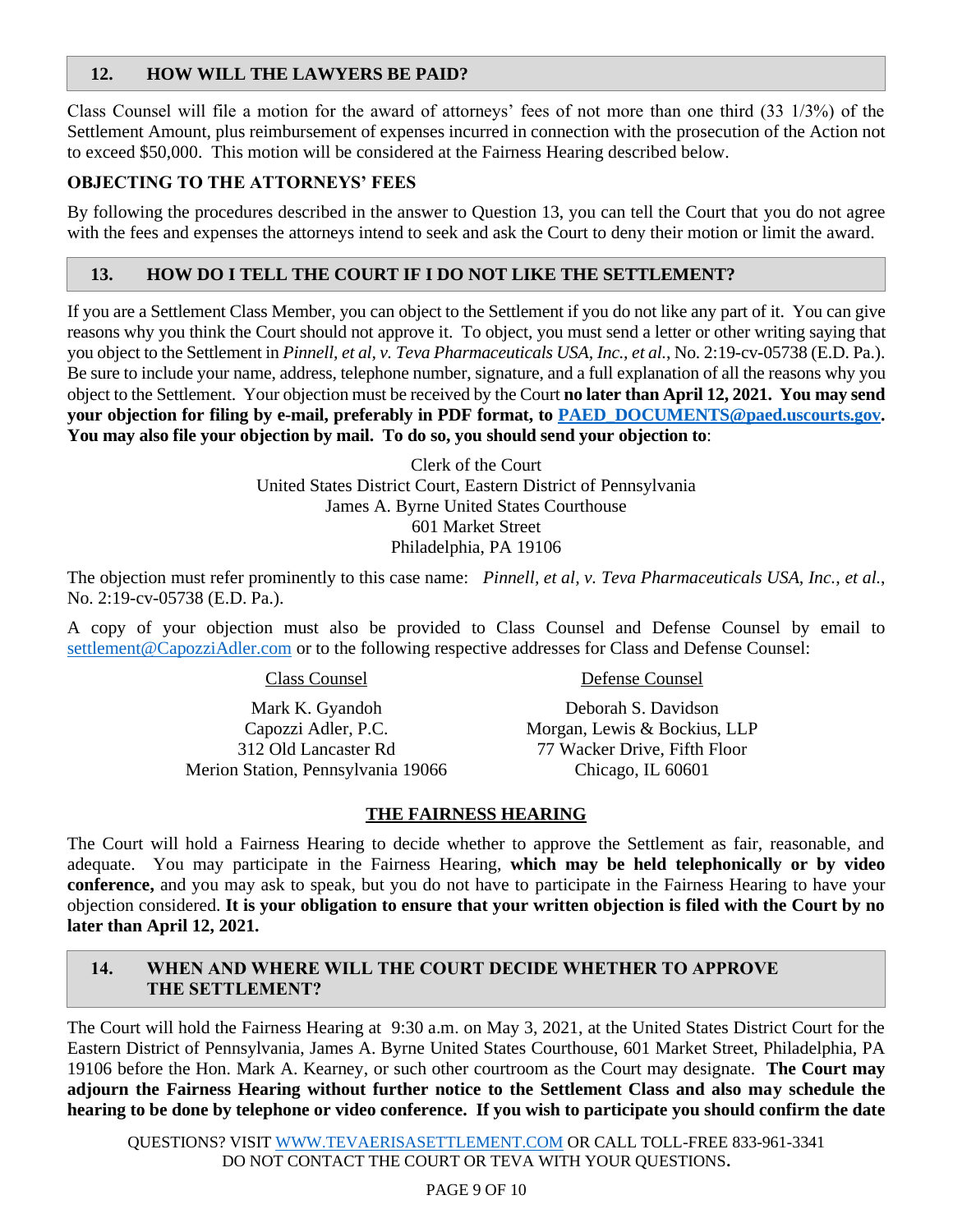## <span id="page-8-0"></span>**12. HOW WILL THE LAWYERS BE PAID?**

Class Counsel will file a motion for the award of attorneys' fees of not more than one third (33 1/3%) of the Settlement Amount, plus reimbursement of expenses incurred in connection with the prosecution of the Action not to exceed \$50,000. This motion will be considered at the Fairness Hearing described below.

### **OBJECTING TO THE ATTORNEYS' FEES**

By following the procedures described in the answer to Question 13, you can tell the Court that you do not agree with the fees and expenses the attorneys intend to seek and ask the Court to deny their motion or limit the award.

### <span id="page-8-1"></span>**13. HOW DO I TELL THE COURT IF I DO NOT LIKE THE SETTLEMENT?**

If you are a Settlement Class Member, you can object to the Settlement if you do not like any part of it. You can give reasons why you think the Court should not approve it. To object, you must send a letter or other writing saying that you object to the Settlement in *Pinnell, et al, v. Teva Pharmaceuticals USA, Inc., et al.*, No. 2:19-cv-05738 (E.D. Pa.). Be sure to include your name, address, telephone number, signature, and a full explanation of all the reasons why you object to the Settlement. Your objection must be received by the Court **no later than April 12, 2021. You may send your objection for filing by e-mail, preferably in PDF format, to [PAED\\_DOCUMENTS@paed.uscourts.gov.](mailto:PAED_DOCUMENTS@paed.uscourts.gov) You may also file your objection by mail. To do so, you should send your objection to**:

> Clerk of the Court United States District Court, Eastern District of Pennsylvania James A. Byrne United States Courthouse 601 Market Street Philadelphia, PA 19106

The objection must refer prominently to this case name: *Pinnell, et al, v. Teva Pharmaceuticals USA, Inc., et al.*, No. 2:19-cv-05738 (E.D. Pa.).

A copy of your objection must also be provided to Class Counsel and Defense Counsel by email to [settlement@CapozziAdler.com](mailto:settlement@CapozziAdler.com) or to the following respective addresses for Class and Defense Counsel:

Class Counsel

Defense Counsel

Mark K. Gyandoh Capozzi Adler, P.C. 312 Old Lancaster Rd Merion Station, Pennsylvania 19066

Deborah S. Davidson Morgan, Lewis & Bockius, LLP 77 Wacker Drive, Fifth Floor Chicago, IL 60601

### **THE FAIRNESS HEARING**

<span id="page-8-2"></span>The Court will hold a Fairness Hearing to decide whether to approve the Settlement as fair, reasonable, and adequate. You may participate in the Fairness Hearing, **which may be held telephonically or by video conference,** and you may ask to speak, but you do not have to participate in the Fairness Hearing to have your objection considered. **It is your obligation to ensure that your written objection is filed with the Court by no later than April 12, 2021.**

## <span id="page-8-3"></span>**14. WHEN AND WHERE WILL THE COURT DECIDE WHETHER TO APPROVE THE SETTLEMENT?**

The Court will hold the Fairness Hearing at 9:30 a.m. on May 3, 2021, at the United States District Court for the Eastern District of Pennsylvania, James A. Byrne United States Courthouse, 601 Market Street, Philadelphia, PA 19106 before the Hon. Mark A. Kearney, or such other courtroom as the Court may designate. **The Court may adjourn the Fairness Hearing without further notice to the Settlement Class and also may schedule the hearing to be done by telephone or video conference. If you wish to participate you should confirm the date**